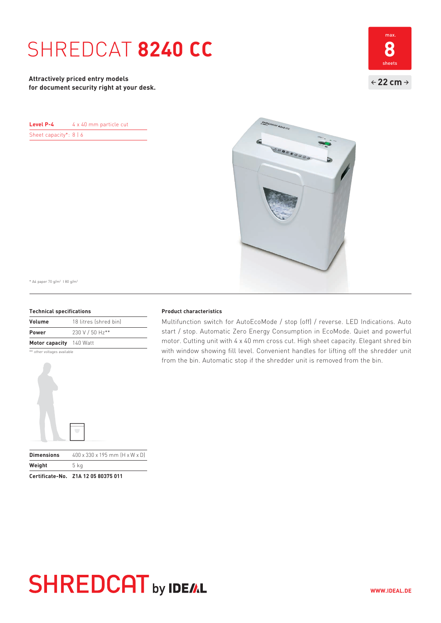# SHREDCAT **8240 CC 8**

**Attractively priced entry models for document security right at your desk.**



| Level P-4                | 4 x 40 mm particle cut |  |
|--------------------------|------------------------|--|
| Sheet capacity*: $8   6$ |                        |  |



\* A4 paper 70 g/m2 I 80 g/m2

### **Technical specifications**

| Volume                  | 18 litres (shred bin) |
|-------------------------|-----------------------|
| <b>Power</b>            | 230 V / 50 Hz**       |
| Motor capacity 140 Watt |                       |

\*\* other voltages available



### **Product characteristics**

Multifunction switch for AutoEcoMode / stop (off) / reverse. LED Indications. Auto start / stop. Automatic Zero Energy Consumption in EcoMode. Quiet and powerful motor. Cutting unit with 4 x 40 mm cross cut. High sheet capacity. Elegant shred bin with window showing fill level. Convenient handles for lifting off the shredder unit from the bin. Automatic stop if the shredder unit is removed from the bin.

# **SHREDCAT** by IDE/AL